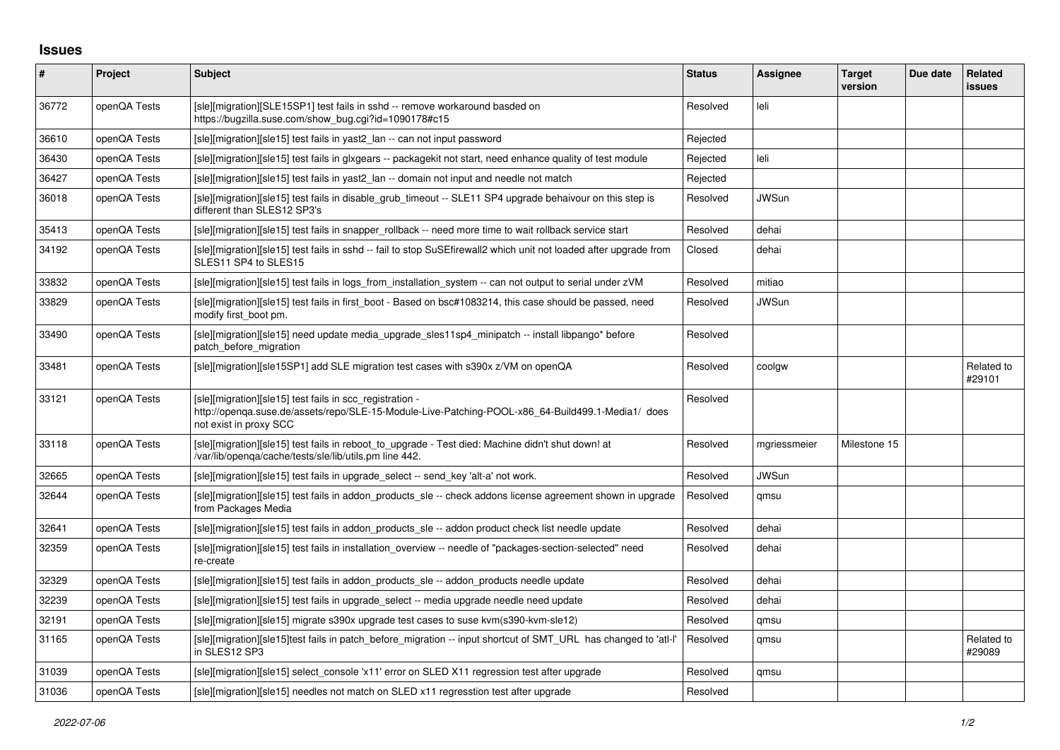## **Issues**

| $\pmb{\#}$ | Project      | <b>Subject</b>                                                                                                                                                                          | <b>Status</b> | Assignee     | <b>Target</b><br>version | Due date | Related<br>issues    |
|------------|--------------|-----------------------------------------------------------------------------------------------------------------------------------------------------------------------------------------|---------------|--------------|--------------------------|----------|----------------------|
| 36772      | openQA Tests | [sle][migration][SLE15SP1] test fails in sshd -- remove workaround basded on<br>https://bugzilla.suse.com/show_bug.cgi?id=1090178#c15                                                   | Resolved      | leli         |                          |          |                      |
| 36610      | openQA Tests | [sle][migration][sle15] test fails in yast2 lan -- can not input password                                                                                                               | Rejected      |              |                          |          |                      |
| 36430      | openQA Tests | [sle][migration][sle15] test fails in glxgears -- packagekit not start, need enhance quality of test module                                                                             | Rejected      | leli         |                          |          |                      |
| 36427      | openQA Tests | [sle][migration][sle15] test fails in yast2 lan -- domain not input and needle not match                                                                                                | Rejected      |              |                          |          |                      |
| 36018      | openQA Tests | [sle][migration][sle15] test fails in disable_grub_timeout -- SLE11 SP4 upgrade behaivour on this step is<br>different than SLES12 SP3's                                                | Resolved      | <b>JWSun</b> |                          |          |                      |
| 35413      | openQA Tests | [sle][migration][sle15] test fails in snapper_rollback -- need more time to wait rollback service start                                                                                 | Resolved      | dehai        |                          |          |                      |
| 34192      | openQA Tests | [sle][migration][sle15] test fails in sshd -- fail to stop SuSEfirewall2 which unit not loaded after upgrade from<br>SLES11 SP4 to SLES15                                               | Closed        | dehai        |                          |          |                      |
| 33832      | openQA Tests | [sle][migration][sle15] test fails in logs_from_installation_system -- can not output to serial under zVM                                                                               | Resolved      | mitiao       |                          |          |                      |
| 33829      | openQA Tests | [sle][migration][sle15] test fails in first boot - Based on bsc#1083214, this case should be passed, need<br>modify first boot pm.                                                      | Resolved      | JWSun        |                          |          |                      |
| 33490      | openQA Tests | [sle][migration][sle15] need update media_upgrade_sles11sp4_minipatch -- install libpango* before<br>patch_before_migration                                                             | Resolved      |              |                          |          |                      |
| 33481      | openQA Tests | [sle][migration][sle15SP1] add SLE migration test cases with s390x z/VM on openQA                                                                                                       | Resolved      | coolgw       |                          |          | Related to<br>#29101 |
| 33121      | openQA Tests | [sle][migration][sle15] test fails in scc_registration -<br>http://openqa.suse.de/assets/repo/SLE-15-Module-Live-Patching-POOL-x86_64-Build499.1-Media1/ does<br>not exist in proxy SCC | Resolved      |              |                          |          |                      |
| 33118      | openQA Tests | [sle][migration][sle15] test fails in reboot to upgrade - Test died: Machine didn't shut down! at<br>/var/lib/openqa/cache/tests/sle/lib/utils.pm line 442.                             | Resolved      | mgriessmeier | Milestone 15             |          |                      |
| 32665      | openQA Tests | [sle][migration][sle15] test fails in upgrade select -- send key 'alt-a' not work.                                                                                                      | Resolved      | <b>JWSun</b> |                          |          |                      |
| 32644      | openQA Tests | [sle][migration][sle15] test fails in addon products sle -- check addons license agreement shown in upgrade<br>from Packages Media                                                      | Resolved      | qmsu         |                          |          |                      |
| 32641      | openQA Tests | [sle][migration][sle15] test fails in addon_products_sle -- addon product check list needle update                                                                                      | Resolved      | dehai        |                          |          |                      |
| 32359      | openQA Tests | [sle][migration][sle15] test fails in installation_overview -- needle of "packages-section-selected" need<br>re-create                                                                  | Resolved      | dehai        |                          |          |                      |
| 32329      | openQA Tests | [sle][migration][sle15] test fails in addon_products_sle -- addon_products needle update                                                                                                | Resolved      | dehai        |                          |          |                      |
| 32239      | openQA Tests | [sle][migration][sle15] test fails in upgrade select -- media upgrade needle need update                                                                                                | Resolved      | dehai        |                          |          |                      |
| 32191      | openQA Tests | [sle][migration][sle15] migrate s390x upgrade test cases to suse kvm(s390-kvm-sle12)                                                                                                    | Resolved      | qmsu         |                          |          |                      |
| 31165      | openQA Tests | [sle][migration][sle15]test fails in patch before migration -- input shortcut of SMT URL has changed to 'atl-l'<br>in SLES12 SP3                                                        | Resolved      | qmsu         |                          |          | Related to<br>#29089 |
| 31039      | openQA Tests | [sle][migration][sle15] select console 'x11' error on SLED X11 regression test after upgrade                                                                                            | Resolved      | qmsu         |                          |          |                      |
| 31036      | openQA Tests | [sle][migration][sle15] needles not match on SLED x11 regresstion test after upgrade                                                                                                    | Resolved      |              |                          |          |                      |